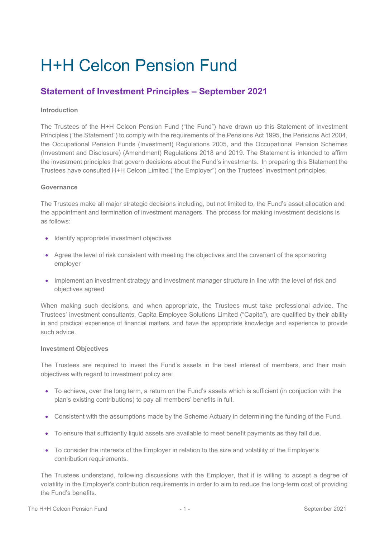# H+H Celcon Pension Fund

## **Statement of Investment Principles – September 2021**

#### **Introduction**

The Trustees of the H+H Celcon Pension Fund ("the Fund") have drawn up this Statement of Investment Principles ("the Statement") to comply with the requirements of the Pensions Act 1995, the Pensions Act 2004, the Occupational Pension Funds (Investment) Regulations 2005, and the Occupational Pension Schemes (Investment and Disclosure) (Amendment) Regulations 2018 and 2019. The Statement is intended to affirm the investment principles that govern decisions about the Fund's investments. In preparing this Statement the Trustees have consulted H+H Celcon Limited ("the Employer") on the Trustees' investment principles.

#### **Governance**

The Trustees make all major strategic decisions including, but not limited to, the Fund's asset allocation and the appointment and termination of investment managers. The process for making investment decisions is as follows:

- Identify appropriate investment objectives
- Agree the level of risk consistent with meeting the objectives and the covenant of the sponsoring employer
- Implement an investment strategy and investment manager structure in line with the level of risk and objectives agreed

When making such decisions, and when appropriate, the Trustees must take professional advice. The Trustees' investment consultants, Capita Employee Solutions Limited ("Capita"), are qualified by their ability in and practical experience of financial matters, and have the appropriate knowledge and experience to provide such advice.

#### **Investment Objectives**

The Trustees are required to invest the Fund's assets in the best interest of members, and their main objectives with regard to investment policy are:

- To achieve, over the long term, a return on the Fund's assets which is sufficient (in conjuction with the plan's existing contributions) to pay all members' benefits in full.
- Consistent with the assumptions made by the Scheme Actuary in determining the funding of the Fund.
- To ensure that sufficiently liquid assets are available to meet benefit payments as they fall due.
- To consider the interests of the Employer in relation to the size and volatility of the Employer's contribution requirements.

The Trustees understand, following discussions with the Employer, that it is willing to accept a degree of volatility in the Employer's contribution requirements in order to aim to reduce the long-term cost of providing the Fund's benefits.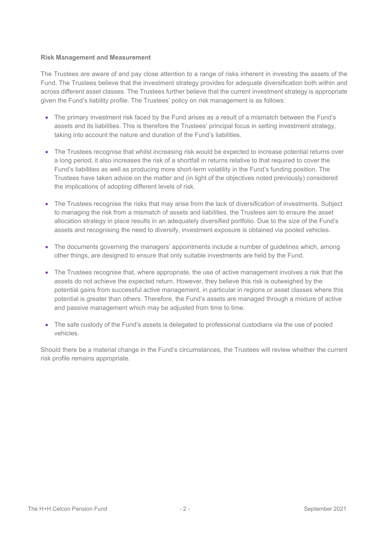#### **Risk Management and Measurement**

The Trustees are aware of and pay close attention to a range of risks inherent in investing the assets of the Fund. The Trustees believe that the investment strategy provides for adequate diversification both within and across different asset classes. The Trustees further believe that the current investment strategy is appropriate given the Fund's liability profile. The Trustees' policy on risk management is as follows:

- The primary investment risk faced by the Fund arises as a result of a mismatch between the Fund's assets and its liabilities. This is therefore the Trustees' principal focus in setting investment strategy, taking into account the nature and duration of the Fund's liabilities.
- The Trustees recognise that whilst increasing risk would be expected to increase potential returns over a long period, it also increases the risk of a shortfall in returns relative to that required to cover the Fund's liabilities as well as producing more short-term volatility in the Fund's funding position. The Trustees have taken advice on the matter and (in light of the objectives noted previously) considered the implications of adopting different levels of risk.
- The Trustees recognise the risks that may arise from the lack of diversification of investments. Subject to managing the risk from a mismatch of assets and liabilities, the Trustees aim to ensure the asset allocation strategy in place results in an adequately diversified portfolio. Due to the size of the Fund's assets and recognising the need to diversify, investment exposure is obtained via pooled vehicles.
- The documents governing the managers' appointments include a number of guidelines which, among other things, are designed to ensure that only suitable investments are held by the Fund.
- The Trustees recognise that, where appropriate, the use of active management involves a risk that the assets do not achieve the expected return. However, they believe this risk is outweighed by the potential gains from successful active management, in particular in regions or asset classes where this potential is greater than others. Therefore, the Fund's assets are managed through a mixture of active and passive management which may be adjusted from time to time.
- The safe custody of the Fund's assets is delegated to professional custodians via the use of pooled vehicles.

Should there be a material change in the Fund's circumstances, the Trustees will review whether the current risk profile remains appropriate.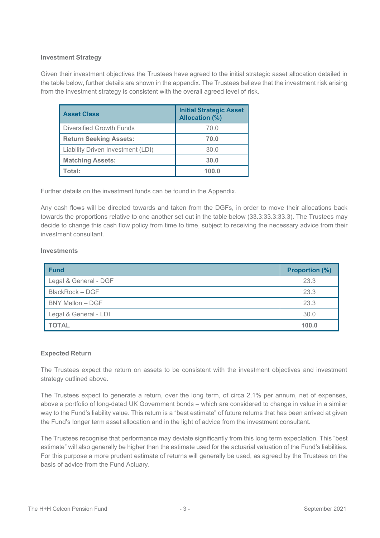#### **Investment Strategy**

Given their investment objectives the Trustees have agreed to the initial strategic asset allocation detailed in the table below, further details are shown in the appendix. The Trustees believe that the investment risk arising from the investment strategy is consistent with the overall agreed level of risk.

| <b>Asset Class</b>                | <b>Initial Strategic Asset</b><br><b>Allocation (%)</b> |  |
|-----------------------------------|---------------------------------------------------------|--|
| Diversified Growth Funds          | 70.0                                                    |  |
| <b>Return Seeking Assets:</b>     | 70.0                                                    |  |
| Liability Driven Investment (LDI) | 30.0                                                    |  |
| <b>Matching Assets:</b>           | 30.0                                                    |  |
| Total:                            | 100.0                                                   |  |

Further details on the investment funds can be found in the Appendix.

Any cash flows will be directed towards and taken from the DGFs, in order to move their allocations back towards the proportions relative to one another set out in the table below (33.3:33.3:33.3). The Trustees may decide to change this cash flow policy from time to time, subject to receiving the necessary advice from their investment consultant.

#### **Investments**

| <b>Fund</b>           | <b>Proportion (%)</b> |  |
|-----------------------|-----------------------|--|
| Legal & General - DGF | 23.3                  |  |
| BlackRock - DGF       | 23.3                  |  |
| BNY Mellon - DGF      | 23.3                  |  |
| Legal & General - LDI | 30.0                  |  |
| <b>TOTAL</b>          | 100.0                 |  |

#### **Expected Return**

The Trustees expect the return on assets to be consistent with the investment objectives and investment strategy outlined above.

The Trustees expect to generate a return, over the long term, of circa 2.1% per annum, net of expenses, above a portfolio of long-dated UK Government bonds – which are considered to change in value in a similar way to the Fund's liability value. This return is a "best estimate" of future returns that has been arrived at given the Fund's longer term asset allocation and in the light of advice from the investment consultant.

The Trustees recognise that performance may deviate significantly from this long term expectation. This "best estimate" will also generally be higher than the estimate used for the actuarial valuation of the Fund's liabilities. For this purpose a more prudent estimate of returns will generally be used, as agreed by the Trustees on the basis of advice from the Fund Actuary.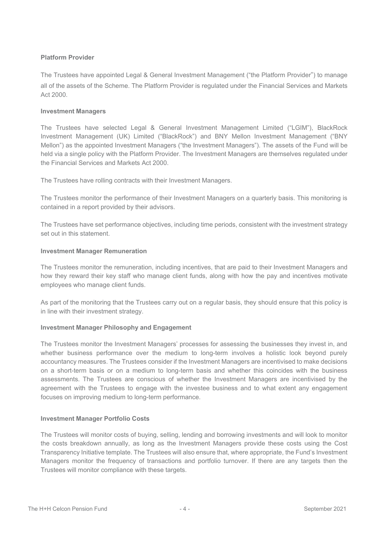#### **Platform Provider**

The Trustees have appointed Legal & General Investment Management ("the Platform Provider") to manage all of the assets of the Scheme. The Platform Provider is regulated under the Financial Services and Markets Act 2000.

#### **Investment Managers**

The Trustees have selected Legal & General Investment Management Limited ("LGIM"), BlackRock Investment Management (UK) Limited ("BlackRock") and BNY Mellon Investment Management ("BNY Mellon") as the appointed Investment Managers ("the Investment Managers"). The assets of the Fund will be held via a single policy with the Platform Provider. The Investment Managers are themselves regulated under the Financial Services and Markets Act 2000.

The Trustees have rolling contracts with their Investment Managers.

The Trustees monitor the performance of their Investment Managers on a quarterly basis. This monitoring is contained in a report provided by their advisors.

The Trustees have set performance objectives, including time periods, consistent with the investment strategy set out in this statement.

#### **Investment Manager Remuneration**

The Trustees monitor the remuneration, including incentives, that are paid to their Investment Managers and how they reward their key staff who manage client funds, along with how the pay and incentives motivate employees who manage client funds.

As part of the monitoring that the Trustees carry out on a regular basis, they should ensure that this policy is in line with their investment strategy.

#### **Investment Manager Philosophy and Engagement**

The Trustees monitor the Investment Managers' processes for assessing the businesses they invest in, and whether business performance over the medium to long-term involves a holistic look beyond purely accountancy measures. The Trustees consider if the Investment Managers are incentivised to make decisions on a short-term basis or on a medium to long-term basis and whether this coincides with the business assessments. The Trustees are conscious of whether the Investment Managers are incentivised by the agreement with the Trustees to engage with the investee business and to what extent any engagement focuses on improving medium to long-term performance.

#### **Investment Manager Portfolio Costs**

The Trustees will monitor costs of buying, selling, lending and borrowing investments and will look to monitor the costs breakdown annually, as long as the Investment Managers provide these costs using the Cost Transparency Initiative template. The Trustees will also ensure that, where appropriate, the Fund's Investment Managers monitor the frequency of transactions and portfolio turnover. If there are any targets then the Trustees will monitor compliance with these targets.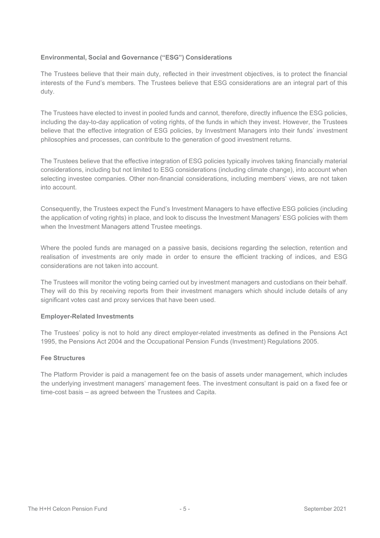#### **Environmental, Social and Governance ("ESG") Considerations**

The Trustees believe that their main duty, reflected in their investment objectives, is to protect the financial interests of the Fund's members. The Trustees believe that ESG considerations are an integral part of this duty.

The Trustees have elected to invest in pooled funds and cannot, therefore, directly influence the ESG policies, including the day-to-day application of voting rights, of the funds in which they invest. However, the Trustees believe that the effective integration of ESG policies, by Investment Managers into their funds' investment philosophies and processes, can contribute to the generation of good investment returns.

The Trustees believe that the effective integration of ESG policies typically involves taking financially material considerations, including but not limited to ESG considerations (including climate change), into account when selecting investee companies. Other non-financial considerations, including members' views, are not taken into account.

Consequently, the Trustees expect the Fund's Investment Managers to have effective ESG policies (including the application of voting rights) in place, and look to discuss the Investment Managers' ESG policies with them when the Investment Managers attend Trustee meetings.

Where the pooled funds are managed on a passive basis, decisions regarding the selection, retention and realisation of investments are only made in order to ensure the efficient tracking of indices, and ESG considerations are not taken into account.

The Trustees will monitor the voting being carried out by investment managers and custodians on their behalf. They will do this by receiving reports from their investment managers which should include details of any significant votes cast and proxy services that have been used.

#### **Employer-Related Investments**

The Trustees' policy is not to hold any direct employer-related investments as defined in the Pensions Act 1995, the Pensions Act 2004 and the Occupational Pension Funds (Investment) Regulations 2005.

#### **Fee Structures**

The Platform Provider is paid a management fee on the basis of assets under management, which includes the underlying investment managers' management fees. The investment consultant is paid on a fixed fee or time-cost basis – as agreed between the Trustees and Capita.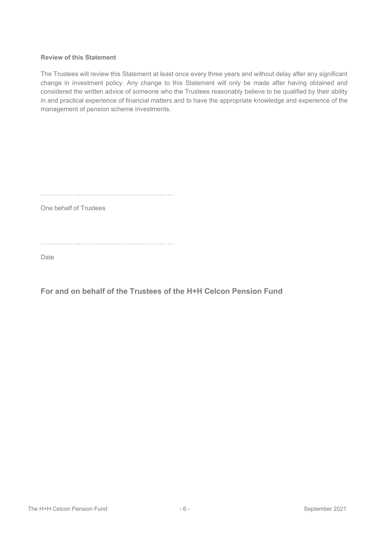#### **Review of this Statement**

The Trustees will review this Statement at least once every three years and without delay after any significant change in investment policy. Any change to this Statement will only be made after having obtained and considered the written advice of someone who the Trustees reasonably believe to be qualified by their ability in and practical experience of financial matters and to have the appropriate knowledge and experience of the management of pension scheme investments.

One behalf of Trustees

Date

**For and on behalf of the Trustees of the H+H Celcon Pension Fund**